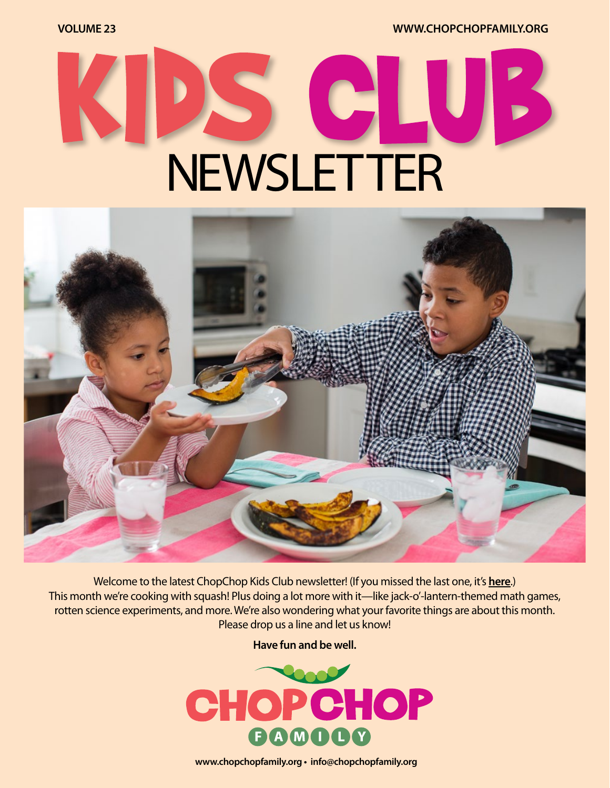**VOLUME 23 [WWW.CHOPCHOPFAMILY.ORG](https://www.chopchopfamily.org)**

# $\bullet$ NEWSLETTER



Welcome to the latest ChopChop Kids Club newsletter! [\(If you missed the last one, it's](https://mcusercontent.com/b1ea30ff4c07c4e770929e7f7/files/22837572-2d47-42db-8b74-ce08ce0fdf36/ccnewsletter22workingv02.pdf?utm_source=ChopChop+eNewsletter&utm_campaign=207dbde51e-Week+19+-+Kids+Club_COPY_01&utm_medium=email&utm_term=0_c340ad3e58-207dbde51e-91838109) **here**.) This month we're cooking with squash! Plus doing a lot more with it—like jack-o'-lantern-themed math games, rotten science experiments, and more. We're also wondering what your favorite things are about this month. Please drop us a line and let us know!

**Have fun and be well.**



**[www.chopchopfamily.org](https://www.chopchopfamily.org) • [info@chopchopfamily.org](mailto:info@chopchopfamily.org)**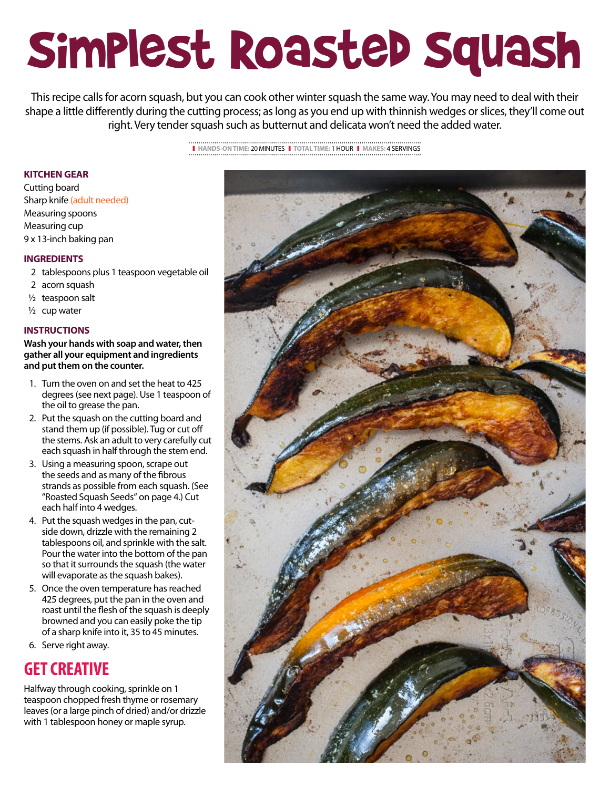## Simplest Roasted Squash

This recipe calls for acorn squash, but you can cook other winter squash the same way. You may need to deal with their shape a little differently during the cutting process; as long as you end up with thinnish wedges or slices, they'll come out right. Very tender squash such as butternut and delicata won't need the added water.

❚ **HANDS-ON TIME:** 20 MINUTES❚ **TOTAL TIME:** 1 HOUR ❚ **MAKES:** 4 SERVINGS

#### **KITCHEN GEAR**

Cutting board Sharp knife (adult needed) Measuring spoons Measuring cup 9 x 13-inch baking pan

#### **INGREDIENTS**

- 2 tablespoons plus 1 teaspoon vegetable oil
- 2 acorn squash
- $1/2$  teaspoon salt
- $1/2$  cup water

#### **INSTRUCTIONS**

**Wash your hands with soap and water, then gather all your equipment and ingredients and put them on the counter.**

- 1. Turn the oven on and set the heat to 425 degrees (see next page). Use 1 teaspoon of the oil to grease the pan.
- 2. Put the squash on the cutting board and stand them up (if possible). Tug or cut off the stems. Ask an adult to very carefully cut each squash in half through the stem end.
- 3. Using a measuring spoon, scrape out the seeds and as many of the fibrous strands as possible from each squash. (See "Roasted Squash Seeds" on page 4.) Cut each half into 4 wedges.
- 4. Put the squash wedges in the pan, cutside down, drizzle with the remaining 2 tablespoons oil, and sprinkle with the salt. Pour the water into the bottom of the pan so that it surrounds the squash (the water will evaporate as the squash bakes).
- 5. Once the oven temperature has reached 425 degrees, put the pan in the oven and roast until the flesh of the squash is deeply browned and you can easily poke the tip of a sharp knife into it, 35 to 45 minutes.
- 6. Serve right away.

### **GET CREATIVE**

Halfway through cooking, sprinkle on 1 teaspoon chopped fresh thyme or rosemary leaves (or a large pinch of dried) and/or drizzle with 1 tablespoon honey or maple syrup.

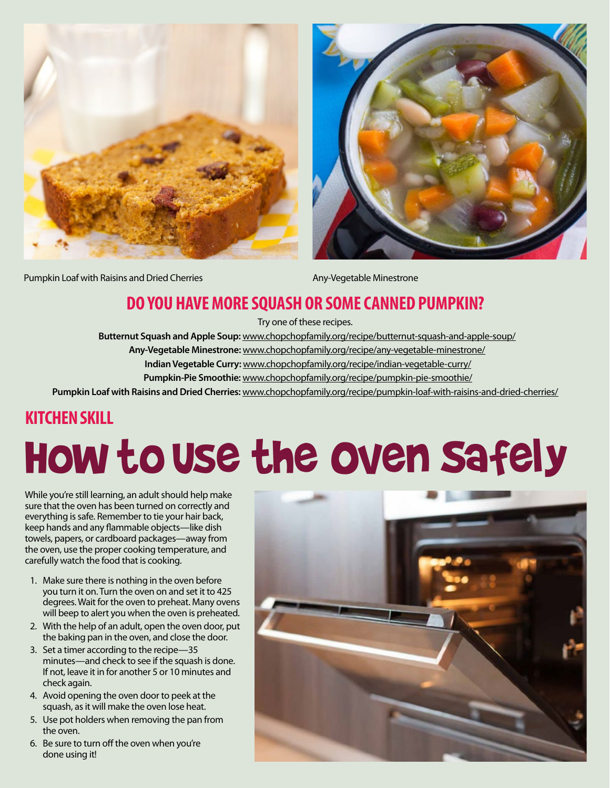



Pumpkin Loaf with Raisins and Dried Cherries **Any-Vegetable Minestrone** Any-Vegetable Minestrone

## **DO YOU HAVE MORE SQUASH OR SOME CANNED PUMPKIN?**

Try one of these recipes.

 **Butternut Squash and Apple Soup:** www.chopchopfamily.org/recipe/butternut-squash-and-apple-soup/

 **Any-Vegetable Minestrone:** www.chopchopfamily.org/recipe/any-vegetable-minestrone/

 **Indian Vegetable Curry:** www.chopchopfamily.org/recipe/indian-vegetable-curry/

 **Pumpkin-Pie Smoothie:** www.chopchopfamily.org/recipe/pumpkin-pie-smoothie/

**Pumpkin Loaf with Raisins and Dried Cherries:** www.chopchopfamily.org/recipe/pumpkin-loaf-with-raisins-and-dried-cherries/

### **KITCHEN SKILL**

## How to Use the Oven Safely

While you're still learning, an adult should help make sure that the oven has been turned on correctly and everything is safe. Remember to tie your hair back, keep hands and any flammable objects—like dish towels, papers, or cardboard packages—away from the oven, use the proper cooking temperature, and carefully watch the food that is cooking.

- 1. Make sure there is nothing in the oven before you turn it on. Turn the oven on and set it to 425 degrees. Wait for the oven to preheat. Many ovens will beep to alert you when the oven is preheated.
- 2. With the help of an adult, open the oven door, put the baking pan in the oven, and close the door.
- 3. Set a timer according to the recipe—35 minutes—and check to see if the squash is done. If not, leave it in for another 5 or 10 minutes and check again.
- 4. Avoid opening the oven door to peek at the squash, as it will make the oven lose heat.
- 5. Use pot holders when removing the pan from the oven.
- 6. Be sure to turn off the oven when you're done using it!

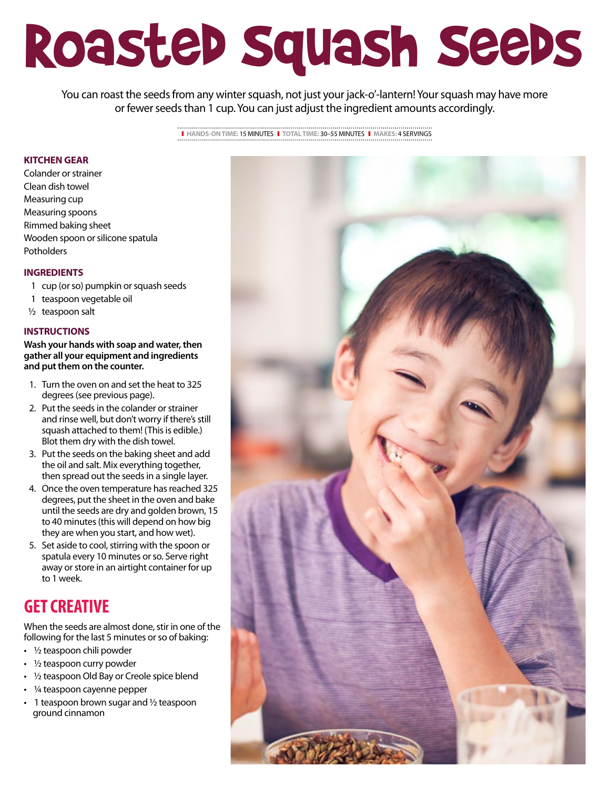## Roasted Squash Seeds

You can roast the seeds from any winter squash, not just your jack-o'-lantern! Your squash may have more or fewer seeds than 1 cup. You can just adjust the ingredient amounts accordingly.

> ❚ **HANDS-ON TIME:** 15 MINUTES❚ **TOTAL TIME:** 30–55 MINUTES ❚ **MAKES:** 4 SERVINGS

#### **KITCHEN GEAR**

Colander or strainer Clean dish towel Measuring cup Measuring spoons Rimmed baking sheet Wooden spoon or silicone spatula Potholders

#### **INGREDIENTS**

- 1 cup (or so) pumpkin or squash seeds
- 1 teaspoon vegetable oil
- ½ teaspoon salt

#### **INSTRUCTIONS**

**Wash your hands with soap and water, then gather all your equipment and ingredients and put them on the counter.**

- 1. Turn the oven on and set the heat to 325 degrees (see previous page).
- 2. Put the seeds in the colander or strainer and rinse well, but don't worry if there's still squash attached to them! (This is edible.) Blot them dry with the dish towel.
- 3. Put the seeds on the baking sheet and add the oil and salt. Mix everything together, then spread out the seeds in a single layer.
- 4. Once the oven temperature has reached 325 degrees, put the sheet in the oven and bake until the seeds are dry and golden brown, 15 to 40 minutes (this will depend on how big they are when you start, and how wet).
- 5. Set aside to cool, stirring with the spoon or spatula every 10 minutes or so. Serve right away or store in an airtight container for up to 1 week.

### **GET CREATIVE**

When the seeds are almost done, stir in one of the following for the last 5 minutes or so of baking:

- ½ teaspoon chili powder
- $\cdot$  1/2 teaspoon curry powder
- 1/2 teaspoon Old Bay or Creole spice blend
- 1/4 teaspoon cayenne pepper
- $\cdot$  1 teaspoon brown sugar and  $\frac{1}{2}$  teaspoon ground cinnamon